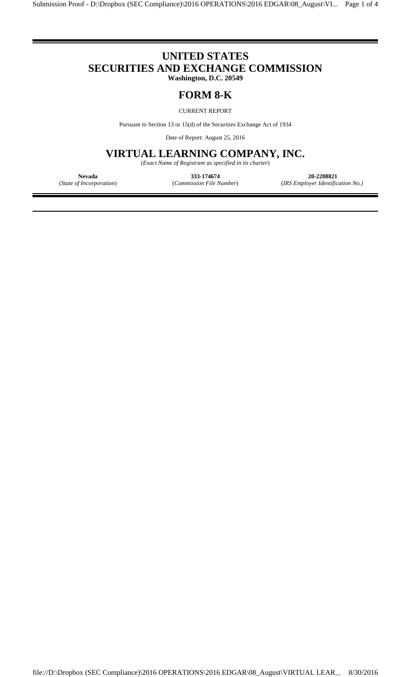# **UNITED STATES SECURITIES AND EXCHANGE COMMISSION**

l

**Washington, D.C. 20549**

### **FORM 8-K**

CURRENT REPORT

Pursuant to Section 13 or 15(d) of the Securities Exchange Act of 1934

Date of Report: August 25, 2016

## **VIRTUAL LEARNING COMPANY, INC.**

(*Exact Name of Registrant as specified in its charter*)

l

**Nevada 333-174674 20-2208821**

(*State of Incorporation*) (*Commission File Number*) (*IRS Employer Identification No.)*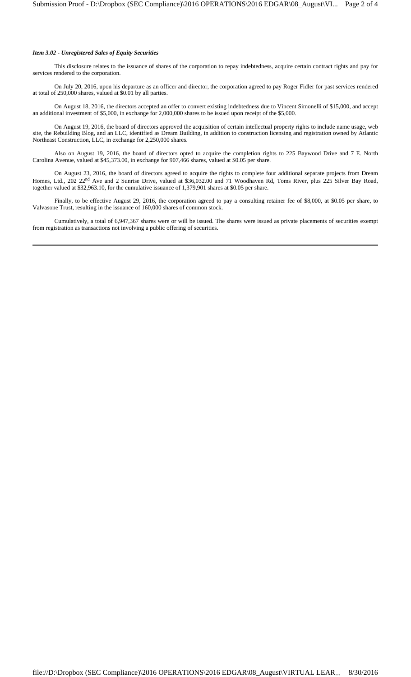#### *Item 3.02 - Unregistered Sales of Equity Securities*

This disclosure relates to the issuance of shares of the corporation to repay indebtedness, acquire certain contract rights and pay for services rendered to the corporation.

On July 20, 2016, upon his departure as an officer and director, the corporation agreed to pay Roger Fidler for past services rendered at total of 250,000 shares, valued at \$0.01 by all parties.

On August 18, 2016, the directors accepted an offer to convert existing indebtedness due to Vincent Simonelli of \$15,000, and accept an additional investment of \$5,000, in exchange for 2,000,000 shares to be issued upon receipt of the \$5,000.

On August 19, 2016, the board of directors approved the acquisition of certain intellectual property rights to include name usage, web site, the Rebuilding Blog, and an LLC, identified as Dream Building, in addition to construction licensing and registration owned by Atlantic Northeast Construction, LLC, in exchange for 2,250,000 shares.

Also on August 19, 2016, the board of directors opted to acquire the completion rights to 225 Baywood Drive and 7 E. North Carolina Avenue, valued at \$45,373.00, in exchange for 907,466 shares, valued at \$0.05 per share.

On August 23, 2016, the board of directors agreed to acquire the rights to complete four additional separate projects from Dream Homes, Ltd., 202 22<sup>nd</sup> Ave and 2 Sunrise Drive, valued at \$36,032.00 and 71 Woodhaven Rd, Toms River, plus 225 Silver Bay Road, together valued at \$32,963.10, for the cumulative issuance of 1,379,901 shares at \$0.05 per share.

Finally, to be effective August 29, 2016, the corporation agreed to pay a consulting retainer fee of \$8,000, at \$0.05 per share, to Valvasone Trust, resulting in the issuance of 160,000 shares of common stock.

Cumulatively, a total of 6,947,367 shares were or will be issued. The shares were issued as private placements of securities exempt from registration as transactions not involving a public offering of securities.